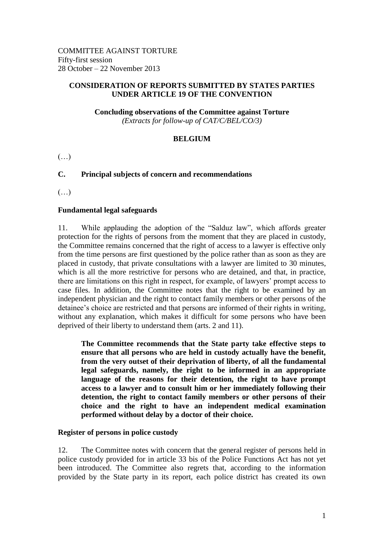## **CONSIDERATION OF REPORTS SUBMITTED BY STATES PARTIES UNDER ARTICLE 19 OF THE CONVENTION**

**Concluding observations of the Committee against Torture** *(Extracts for follow-up of CAT/C/BEL/CO/3)*

# **BELGIUM**

 $(\ldots)$ 

# **C. Principal subjects of concern and recommendations**

(…)

# **Fundamental legal safeguards**

11. While applauding the adoption of the "Salduz law", which affords greater protection for the rights of persons from the moment that they are placed in custody, the Committee remains concerned that the right of access to a lawyer is effective only from the time persons are first questioned by the police rather than as soon as they are placed in custody, that private consultations with a lawyer are limited to 30 minutes, which is all the more restrictive for persons who are detained, and that, in practice, there are limitations on this right in respect, for example, of lawyers' prompt access to case files. In addition, the Committee notes that the right to be examined by an independent physician and the right to contact family members or other persons of the detainee's choice are restricted and that persons are informed of their rights in writing, without any explanation, which makes it difficult for some persons who have been deprived of their liberty to understand them (arts. 2 and 11).

**The Committee recommends that the State party take effective steps to ensure that all persons who are held in custody actually have the benefit, from the very outset of their deprivation of liberty, of all the fundamental legal safeguards, namely, the right to be informed in an appropriate language of the reasons for their detention, the right to have prompt access to a lawyer and to consult him or her immediately following their detention, the right to contact family members or other persons of their choice and the right to have an independent medical examination performed without delay by a doctor of their choice.**

#### **Register of persons in police custody**

12. The Committee notes with concern that the general register of persons held in police custody provided for in article 33 bis of the Police Functions Act has not yet been introduced. The Committee also regrets that, according to the information provided by the State party in its report, each police district has created its own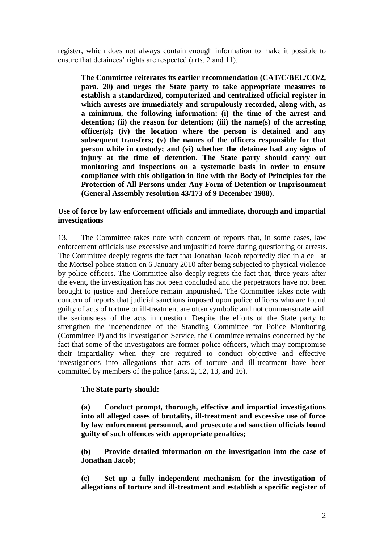register, which does not always contain enough information to make it possible to ensure that detainees' rights are respected (arts. 2 and 11).

**The Committee reiterates its earlier recommendation (CAT/C/BEL/CO/2, para. 20) and urges the State party to take appropriate measures to establish a standardized, computerized and centralized official register in which arrests are immediately and scrupulously recorded, along with, as a minimum, the following information: (i) the time of the arrest and detention; (ii) the reason for detention; (iii) the name(s) of the arresting officer(s); (iv) the location where the person is detained and any subsequent transfers; (v) the names of the officers responsible for that person while in custody; and (vi) whether the detainee had any signs of injury at the time of detention. The State party should carry out monitoring and inspections on a systematic basis in order to ensure compliance with this obligation in line with the Body of Principles for the Protection of All Persons under Any Form of Detention or Imprisonment (General Assembly resolution 43/173 of 9 December 1988).**

## **Use of force by law enforcement officials and immediate, thorough and impartial investigations**

13. The Committee takes note with concern of reports that, in some cases, law enforcement officials use excessive and unjustified force during questioning or arrests. The Committee deeply regrets the fact that Jonathan Jacob reportedly died in a cell at the Mortsel police station on 6 January 2010 after being subjected to physical violence by police officers. The Committee also deeply regrets the fact that, three years after the event, the investigation has not been concluded and the perpetrators have not been brought to justice and therefore remain unpunished. The Committee takes note with concern of reports that judicial sanctions imposed upon police officers who are found guilty of acts of torture or ill-treatment are often symbolic and not commensurate with the seriousness of the acts in question. Despite the efforts of the State party to strengthen the independence of the Standing Committee for Police Monitoring (Committee P) and its Investigation Service, the Committee remains concerned by the fact that some of the investigators are former police officers, which may compromise their impartiality when they are required to conduct objective and effective investigations into allegations that acts of torture and ill-treatment have been committed by members of the police (arts. 2, 12, 13, and 16).

# **The State party should:**

**(a) Conduct prompt, thorough, effective and impartial investigations into all alleged cases of brutality, ill-treatment and excessive use of force by law enforcement personnel, and prosecute and sanction officials found guilty of such offences with appropriate penalties;**

**(b) Provide detailed information on the investigation into the case of Jonathan Jacob;**

**(c) Set up a fully independent mechanism for the investigation of allegations of torture and ill-treatment and establish a specific register of**